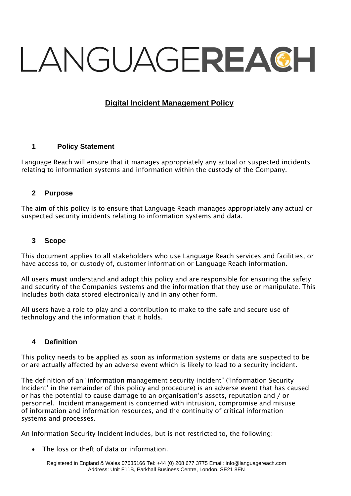# LANGUAGEREACH

# **Digital Incident Management Policy**

#### **1 Policy Statement**

Language Reach will ensure that it manages appropriately any actual or suspected incidents relating to information systems and information within the custody of the Company.

#### **2 Purpose**

The aim of this policy is to ensure that Language Reach manages appropriately any actual or suspected security incidents relating to information systems and data.

#### **3 Scope**

This document applies to all stakeholders who use Language Reach services and facilities, or have access to, or custody of, customer information or Language Reach information.

All users must understand and adopt this policy and are responsible for ensuring the safety and security of the Companies systems and the information that they use or manipulate. This includes both data stored electronically and in any other form.

All users have a role to play and a contribution to make to the safe and secure use of technology and the information that it holds.

#### **4 Definition**

This policy needs to be applied as soon as information systems or data are suspected to be or are actually affected by an adverse event which is likely to lead to a security incident.

The definition of an "information management security incident" ('Information Security Incident' in the remainder of this policy and procedure) is an adverse event that has caused or has the potential to cause damage to an organisation's assets, reputation and / or personnel. Incident management is concerned with intrusion, compromise and misuse of information and information resources, and the continuity of critical information systems and processes.

An Information Security Incident includes, but is not restricted to, the following:

• The loss or theft of data or information.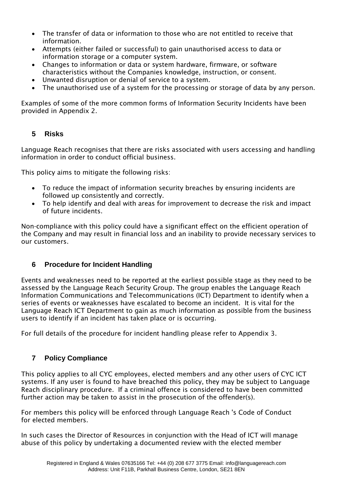- The transfer of data or information to those who are not entitled to receive that information.
- Attempts (either failed or successful) to gain unauthorised access to data or information storage or a computer system.
- Changes to information or data or system hardware, firmware, or software characteristics without the Companies knowledge, instruction, or consent.
- Unwanted disruption or denial of service to a system.
- The unauthorised use of a system for the processing or storage of data by any person.

Examples of some of the more common forms of Information Security Incidents have been provided in Appendix 2.

# **5 Risks**

Language Reach recognises that there are risks associated with users accessing and handling information in order to conduct official business.

This policy aims to mitigate the following risks:

- To reduce the impact of information security breaches by ensuring incidents are followed up consistently and correctly.
- To help identify and deal with areas for improvement to decrease the risk and impact of future incidents.

Non-compliance with this policy could have a significant effect on the efficient operation of the Company and may result in financial loss and an inability to provide necessary services to our customers.

# **6 Procedure for Incident Handling**

Events and weaknesses need to be reported at the earliest possible stage as they need to be assessed by the Language Reach Security Group. The group enables the Language Reach Information Communications and Telecommunications (ICT) Department to identify when a series of events or weaknesses have escalated to become an incident. It is vital for the Language Reach ICT Department to gain as much information as possible from the business users to identify if an incident has taken place or is occurring.

For full details of the procedure for incident handling please refer to Appendix 3.

# **7 Policy Compliance**

This policy applies to all CYC employees, elected members and any other users of CYC ICT systems. If any user is found to have breached this policy, they may be subject to Language Reach disciplinary procedure. If a criminal offence is considered to have been committed further action may be taken to assist in the prosecution of the offender(s).

For members this policy will be enforced through Language Reach 's Code of Conduct for elected members.

In such cases the Director of Resources in conjunction with the Head of ICT will manage abuse of this policy by undertaking a documented review with the elected member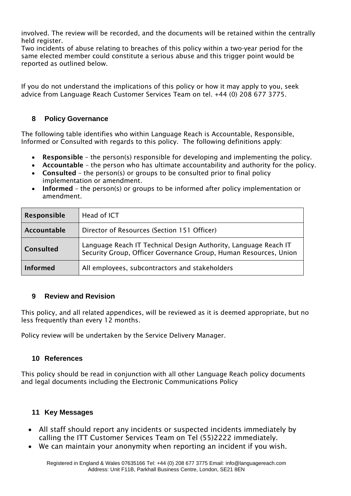involved. The review will be recorded, and the documents will be retained within the centrally held register.

Two incidents of abuse relating to breaches of this policy within a two-year period for the same elected member could constitute a serious abuse and this trigger point would be reported as outlined below.

If you do not understand the implications of this policy or how it may apply to you, seek advice from Language Reach Customer Services Team on tel. +44 (0) 208 677 3775.

## **8 Policy Governance**

The following table identifies who within Language Reach is Accountable, Responsible, Informed or Consulted with regards to this policy. The following definitions apply:

- Responsible the person(s) responsible for developing and implementing the policy.
- Accountable the person who has ultimate accountability and authority for the policy.
- Consulted the person(s) or groups to be consulted prior to final policy implementation or amendment.
- Informed the person(s) or groups to be informed after policy implementation or amendment.

| Responsible      | Head of ICT                                                                                                                         |
|------------------|-------------------------------------------------------------------------------------------------------------------------------------|
| Accountable      | Director of Resources (Section 151 Officer)                                                                                         |
| <b>Consulted</b> | Language Reach IT Technical Design Authority, Language Reach IT<br>Security Group, Officer Governance Group, Human Resources, Union |
| <b>Informed</b>  | All employees, subcontractors and stakeholders                                                                                      |

## **9 Review and Revision**

This policy, and all related appendices, will be reviewed as it is deemed appropriate, but no less frequently than every 12 months.

Policy review will be undertaken by the Service Delivery Manager.

## **10 References**

This policy should be read in conjunction with all other Language Reach policy documents and legal documents including the Electronic Communications Policy

## **11 Key Messages**

- All staff should report any incidents or suspected incidents immediately by calling the ITT Customer Services Team on Tel (55)2222 immediately.
- We can maintain your anonymity when reporting an incident if you wish.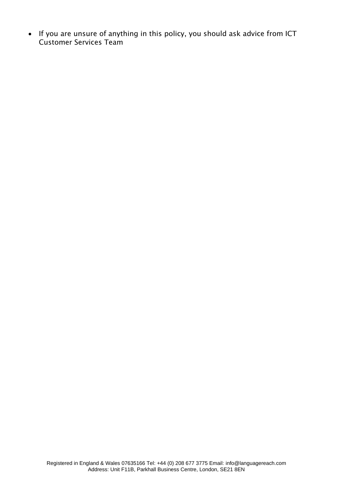• If you are unsure of anything in this policy, you should ask advice from ICT Customer Services Team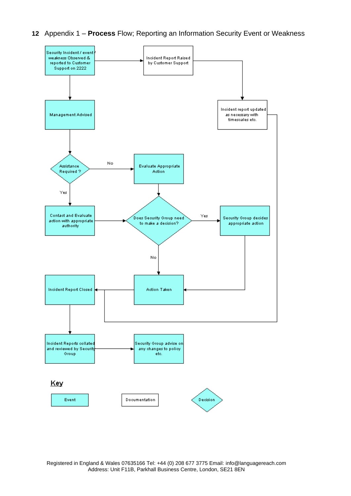



Registered in England & Wales 07635166 Tel: +44 (0) 208 677 3775 Email: [info@languagereach.com](mailto:info@languagereach.com) Address: Unit F11B, Parkhall Business Centre, London, SE21 8EN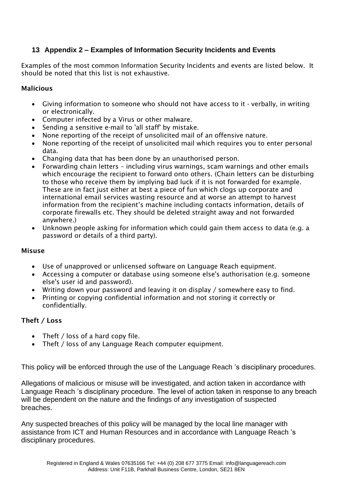# **13 Appendix 2 – Examples of Information Security Incidents and Events**

Examples of the most common Information Security Incidents and events are listed below. It should be noted that this list is not exhaustive.

#### Malicious

- Giving information to someone who should not have access to it verbally, in writing or electronically.
- Computer infected by a Virus or other malware.
- Sending a sensitive e-mail to 'all staff' by mistake.
- None reporting of the receipt of unsolicited mail of an offensive nature.
- None reporting of the receipt of unsolicited mail which requires you to enter personal data.
- Changing data that has been done by an unauthorised person.
- Forwarding chain letters including virus warnings, scam warnings and other emails which encourage the recipient to forward onto others. (Chain letters can be disturbing to those who receive them by implying bad luck if it is not forwarded for example. These are in fact just either at best a piece of fun which clogs up corporate and international email services wasting resource and at worse an attempt to harvest information from the recipient's machine including contacts information, details of corporate firewalls etc. They should be deleted straight away and not forwarded anywhere.)
- Unknown people asking for information which could gain them access to data (e.g. a password or details of a third party).

#### Misuse

- Use of unapproved or unlicensed software on Language Reach equipment.
- Accessing a computer or database using someone else's authorisation (e.g. someone else's user id and password).
- Writing down your password and leaving it on display / somewhere easy to find.
- Printing or copying confidential information and not storing it correctly or confidentially.

## Theft / Loss

- Theft / loss of a hard copy file.
- Theft / loss of any Language Reach computer equipment.

This policy will be enforced through the use of the Language Reach 's disciplinary procedures.

Allegations of malicious or misuse will be investigated, and action taken in accordance with Language Reach 's disciplinary procedure. The level of action taken in response to any breach will be dependent on the nature and the findings of any investigation of suspected breaches.

Any suspected breaches of this policy will be managed by the local line manager with assistance from ICT and Human Resources and in accordance with Language Reach 's disciplinary procedures.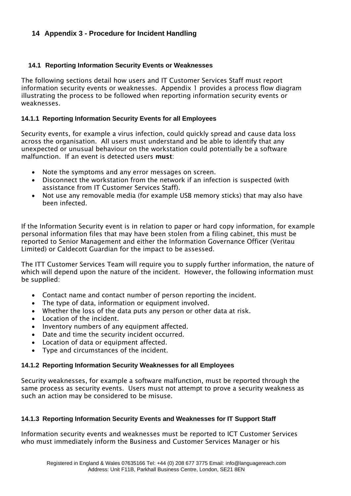## **14 Appendix 3 - Procedure for Incident Handling**

#### **14.1 Reporting Information Security Events or Weaknesses**

The following sections detail how users and IT Customer Services Staff must report information security events or weaknesses. Appendix 1 provides a process flow diagram illustrating the process to be followed when reporting information security events or weaknesses.

#### **14.1.1 Reporting Information Security Events for all Employees**

Security events, for example a virus infection, could quickly spread and cause data loss across the organisation. All users must understand and be able to identify that any unexpected or unusual behaviour on the workstation could potentially be a software malfunction. If an event is detected users must:

- Note the symptoms and any error messages on screen.
- Disconnect the workstation from the network if an infection is suspected (with assistance from IT Customer Services Staff).
- Not use any removable media (for example USB memory sticks) that may also have been infected.

If the Information Security event is in relation to paper or hard copy information, for example personal information files that may have been stolen from a filing cabinet, this must be reported to Senior Management and either the Information Governance Officer (Veritau Limited) or Caldecott Guardian for the impact to be assessed.

The ITT Customer Services Team will require you to supply further information, the nature of which will depend upon the nature of the incident. However, the following information must be supplied:

- Contact name and contact number of person reporting the incident.
- The type of data, information or equipment involved.
- Whether the loss of the data puts any person or other data at risk.
- Location of the incident.
- Inventory numbers of any equipment affected.
- Date and time the security incident occurred.
- Location of data or equipment affected.
- Type and circumstances of the incident.

#### **14.1.2 Reporting Information Security Weaknesses for all Employees**

Security weaknesses, for example a software malfunction, must be reported through the same process as security events. Users must not attempt to prove a security weakness as such an action may be considered to be misuse.

#### **14.1.3 Reporting Information Security Events and Weaknesses for IT Support Staff**

Information security events and weaknesses must be reported to ICT Customer Services who must immediately inform the Business and Customer Services Manager or his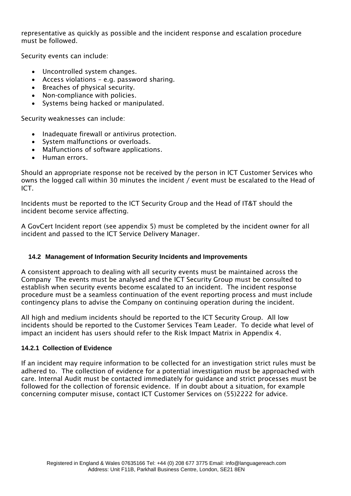representative as quickly as possible and the incident response and escalation procedure must be followed.

Security events can include:

- Uncontrolled system changes.
- Access violations e.g. password sharing.
- Breaches of physical security.
- Non-compliance with policies.
- Systems being hacked or manipulated.

Security weaknesses can include:

- Inadequate firewall or antivirus protection.
- System malfunctions or overloads.
- Malfunctions of software applications.
- Human errors.

Should an appropriate response not be received by the person in ICT Customer Services who owns the logged call within 30 minutes the incident / event must be escalated to the Head of ICT.

Incidents must be reported to the ICT Security Group and the Head of IT&T should the incident become service affecting.

A GovCert Incident report (see appendix 5) must be completed by the incident owner for all incident and passed to the ICT Service Delivery Manager.

#### **14.2 Management of Information Security Incidents and Improvements**

A consistent approach to dealing with all security events must be maintained across the Company The events must be analysed and the ICT Security Group must be consulted to establish when security events become escalated to an incident. The incident response procedure must be a seamless continuation of the event reporting process and must include contingency plans to advise the Company on continuing operation during the incident.

All high and medium incidents should be reported to the ICT Security Group. All low incidents should be reported to the Customer Services Team Leader. To decide what level of impact an incident has users should refer to the Risk Impact Matrix in Appendix 4.

#### **14.2.1 Collection of Evidence**

If an incident may require information to be collected for an investigation strict rules must be adhered to. The collection of evidence for a potential investigation must be approached with care. Internal Audit must be contacted immediately for guidance and strict processes must be followed for the collection of forensic evidence. If in doubt about a situation, for example concerning computer misuse, contact ICT Customer Services on (55)2222 for advice.